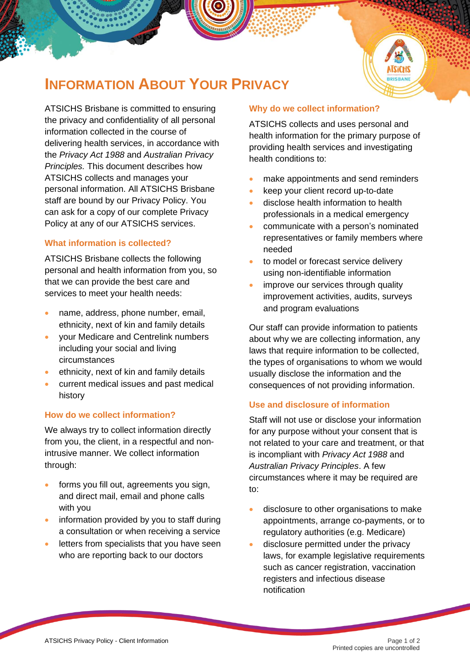

# **INFORMATION ABOUT YOUR PRIVACY**

ATSICHS Brisbane is committed to ensuring the privacy and confidentiality of all personal information collected in the course of delivering health services, in accordance with the *Privacy Act 1988* and *Australian Privacy Principles.* This document describes how ATSICHS collects and manages your personal information. All ATSICHS Brisbane staff are bound by our Privacy Policy. You can ask for a copy of our complete Privacy Policy at any of our ATSICHS services.

## **What information is collected?**

ATSICHS Brisbane collects the following personal and health information from you, so that we can provide the best care and services to meet your health needs:

- name, address, phone number, email, ethnicity, next of kin and family details
- your Medicare and Centrelink numbers including your social and living circumstances
- ethnicity, next of kin and family details
- current medical issues and past medical history

#### **How do we collect information?**

We always try to collect information directly from you, the client, in a respectful and nonintrusive manner. We collect information through:

- forms you fill out, agreements you sign, and direct mail, email and phone calls with you
- information provided by you to staff during a consultation or when receiving a service
- letters from specialists that you have seen who are reporting back to our doctors

#### **Why do we collect information?**

ATSICHS collects and uses personal and health information for the primary purpose of providing health services and investigating health conditions to:

- make appointments and send reminders
- keep your client record up-to-date
- disclose health information to health professionals in a medical emergency
- communicate with a person's nominated representatives or family members where needed
- to model or forecast service delivery using non-identifiable information
- improve our services through quality improvement activities, audits, surveys and program evaluations

Our staff can provide information to patients about why we are collecting information, any laws that require information to be collected, the types of organisations to whom we would usually disclose the information and the consequences of not providing information.

#### **Use and disclosure of information**

Staff will not use or disclose your information for any purpose without your consent that is not related to your care and treatment, or that is incompliant with *Privacy Act 1988* and *Australian Privacy Principles*. A few circumstances where it may be required are to:

- disclosure to other organisations to make appointments, arrange co-payments, or to regulatory authorities (e.g. Medicare)
- disclosure permitted under the privacy laws, for example legislative requirements such as cancer registration, vaccination registers and infectious disease notification